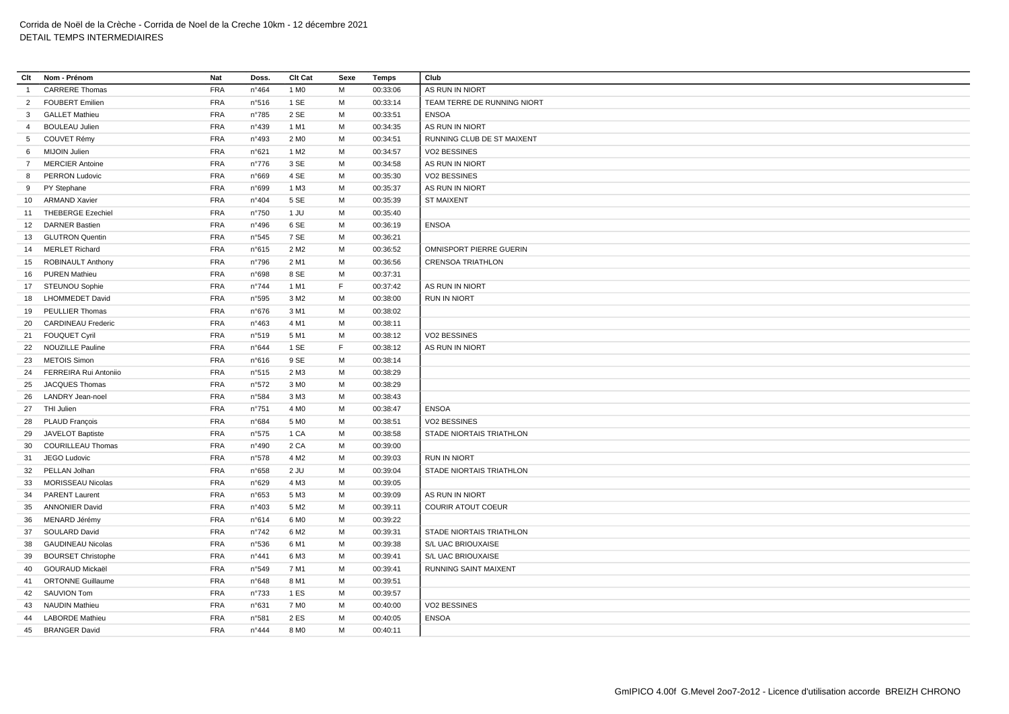| Clt            | Nom - Prénom              | Nat        | Doss.          | Clt Cat          | Sexe | Temps    | Club                            |
|----------------|---------------------------|------------|----------------|------------------|------|----------|---------------------------------|
| $\overline{1}$ | <b>CARRERE Thomas</b>     | <b>FRA</b> | $n^{\circ}464$ | 1 M <sub>0</sub> | M    | 00:33:06 | AS RUN IN NIORT                 |
| $\overline{2}$ | <b>FOUBERT Emilien</b>    | <b>FRA</b> | n°516          | 1 SE             | M    | 00:33:14 | TEAM TERRE DE RUNNING NIORT     |
| 3 <sub>l</sub> | <b>GALLET Mathieu</b>     | <b>FRA</b> | n°785          | 2 SE             | M    | 00:33:51 | <b>ENSOA</b>                    |
| $\overline{4}$ | <b>BOULEAU Julien</b>     | <b>FRA</b> | n°439          | 1 M1             | M    | 00:34:35 | AS RUN IN NIORT                 |
| 5 <sup>5</sup> | COUVET Rémy               | FRA        | n°493          | 2 M <sub>0</sub> | M    | 00:34:51 | RUNNING CLUB DE ST MAIXENT      |
| 6              | MIJOIN Julien             | FRA        | n°621          | 1 M <sub>2</sub> | M    | 00:34:57 | VO2 BESSINES                    |
| $\overline{7}$ | <b>MERCIER Antoine</b>    | FRA        | $n^{\circ}776$ | 3 SE             | M    | 00:34:58 | AS RUN IN NIORT                 |
| 8              | <b>PERRON Ludovic</b>     | <b>FRA</b> | n°669          | 4 SE             | М    | 00:35:30 | VO2 BESSINES                    |
| 9              | PY Stephane               | FRA        | n°699          | 1 M3             | M    | 00:35:37 | AS RUN IN NIORT                 |
|                | 10 ARMAND Xavier          | <b>FRA</b> | n°404          | 5 SE             | М    | 00:35:39 | <b>ST MAIXENT</b>               |
| 11             | <b>THEBERGE Ezechiel</b>  | <b>FRA</b> | n°750          | 1 JU             | M    | 00:35:40 |                                 |
| 12             | <b>DARNER Bastien</b>     | <b>FRA</b> | n°496          | 6 SE             | М    | 00:36:19 | <b>ENSOA</b>                    |
|                | 13 GLUTRON Quentin        | <b>FRA</b> | n°545          | 7 SE             | M    | 00:36:21 |                                 |
|                | 14 MERLET Richard         | <b>FRA</b> | n°615          | 2 M <sub>2</sub> | M    | 00:36:52 | <b>OMNISPORT PIERRE GUERIN</b>  |
| 15             | <b>ROBINAULT Anthony</b>  | <b>FRA</b> | n°796          | 2 M1             | M    | 00:36:56 | <b>CRENSOA TRIATHLON</b>        |
|                | 16 PUREN Mathieu          | FRA        | n°698          | 8 SE             | M    | 00:37:31 |                                 |
|                | 17 STEUNOU Sophie         | <b>FRA</b> | $n^{\circ}744$ | 1 M1             | F    | 00:37:42 | AS RUN IN NIORT                 |
| 18             | <b>LHOMMEDET David</b>    | <b>FRA</b> | n°595          | 3 M2             | М    | 00:38:00 | <b>RUN IN NIORT</b>             |
| 19             | PEULLIER Thomas           | FRA        | n°676          | 3 M1             | M    | 00:38:02 |                                 |
| 20             | <b>CARDINEAU Frederic</b> | <b>FRA</b> | $n^{\circ}463$ | 4 M1             | M    | 00:38:11 |                                 |
| 21             | <b>FOUQUET Cyril</b>      | <b>FRA</b> | n°519          | 5 M1             | M    | 00:38:12 | VO2 BESSINES                    |
|                | 22 NOUZILLE Pauline       | <b>FRA</b> | n°644          | 1 SE             | F.   | 00:38:12 | AS RUN IN NIORT                 |
|                | 23 METOIS Simon           | <b>FRA</b> | n°616          | 9 SE             | М    | 00:38:14 |                                 |
| 24             | FERREIRA Rui Antoniio     | <b>FRA</b> | n°515          | 2 M3             | M    | 00:38:29 |                                 |
| 25             | <b>JACQUES Thomas</b>     | <b>FRA</b> | n°572          | 3 M <sub>0</sub> | M    | 00:38:29 |                                 |
| 26             | <b>LANDRY</b> Jean-noel   | <b>FRA</b> | n°584          | 3 M3             | M    | 00:38:43 |                                 |
|                | 27 THI Julien             | <b>FRA</b> | $n^{\circ}751$ | 4 M <sub>0</sub> | М    | 00:38:47 | <b>ENSOA</b>                    |
|                | 28 PLAUD François         | <b>FRA</b> | n°684          | 5 M <sub>0</sub> | M    | 00:38:51 | VO2 BESSINES                    |
| 29             | JAVELOT Baptiste          | <b>FRA</b> | n°575          | 1 CA             | M    | 00:38:58 | <b>STADE NIORTAIS TRIATHLON</b> |
| 30             | <b>COURILLEAU Thomas</b>  | <b>FRA</b> | n°490          | 2 CA             | M    | 00:39:00 |                                 |
| 31             | JEGO Ludovic              | <b>FRA</b> | n°578          | 4 M <sub>2</sub> | M    | 00:39:03 | <b>RUN IN NIORT</b>             |
| 32             | PELLAN Jolhan             | <b>FRA</b> | n°658          | $2$ JU           | M    | 00:39:04 | STADE NIORTAIS TRIATHLON        |
| 33             | <b>MORISSEAU Nicolas</b>  | <b>FRA</b> | n°629          | 4 M3             | M    | 00:39:05 |                                 |
| 34             | <b>PARENT Laurent</b>     | <b>FRA</b> | n°653          | 5 M3             | M    | 00:39:09 | AS RUN IN NIORT                 |
| 35             | <b>ANNONIER David</b>     | <b>FRA</b> | n°403          | 5 M <sub>2</sub> | M    | 00:39:11 | <b>COURIR ATOUT COEUR</b>       |
| 36             | MENARD Jérémy             | <b>FRA</b> | n°614          | 6 M <sub>0</sub> | М    | 00:39:22 |                                 |
| 37             | SOULARD David             | <b>FRA</b> | $n^{\circ}742$ | 6 M <sub>2</sub> | M    | 00:39:31 | STADE NIORTAIS TRIATHLON        |
| 38             | <b>GAUDINEAU Nicolas</b>  | <b>FRA</b> | n°536          | 6 M1             | M    | 00:39:38 | S/L UAC BRIOUXAISE              |
| 39             | <b>BOURSET Christophe</b> | <b>FRA</b> | $n^{\circ}441$ | 6 M3             | M    | 00:39:41 | S/L UAC BRIOUXAISE              |
| 40             | <b>GOURAUD Mickaël</b>    | <b>FRA</b> | n°549          | 7 M1             | М    | 00:39:41 | RUNNING SAINT MAIXENT           |
| 41             | <b>ORTONNE Guillaume</b>  | <b>FRA</b> | n°648          | 8 M1             | M    | 00:39:51 |                                 |
| 42             | <b>SAUVION Tom</b>        | <b>FRA</b> | n°733          | 1 ES             | M    | 00:39:57 |                                 |
| 43             | <b>NAUDIN Mathieu</b>     | <b>FRA</b> | n°631          | 7 M <sub>0</sub> | M    | 00:40:00 | VO2 BESSINES                    |
| 44             | <b>LABORDE Mathieu</b>    | <b>FRA</b> | n°581          | 2 ES             | M    | 00:40:05 | <b>ENSOA</b>                    |
| 45             | <b>BRANGER David</b>      | <b>FRA</b> | n°444          | 8 M <sub>0</sub> | M    | 00:40:11 |                                 |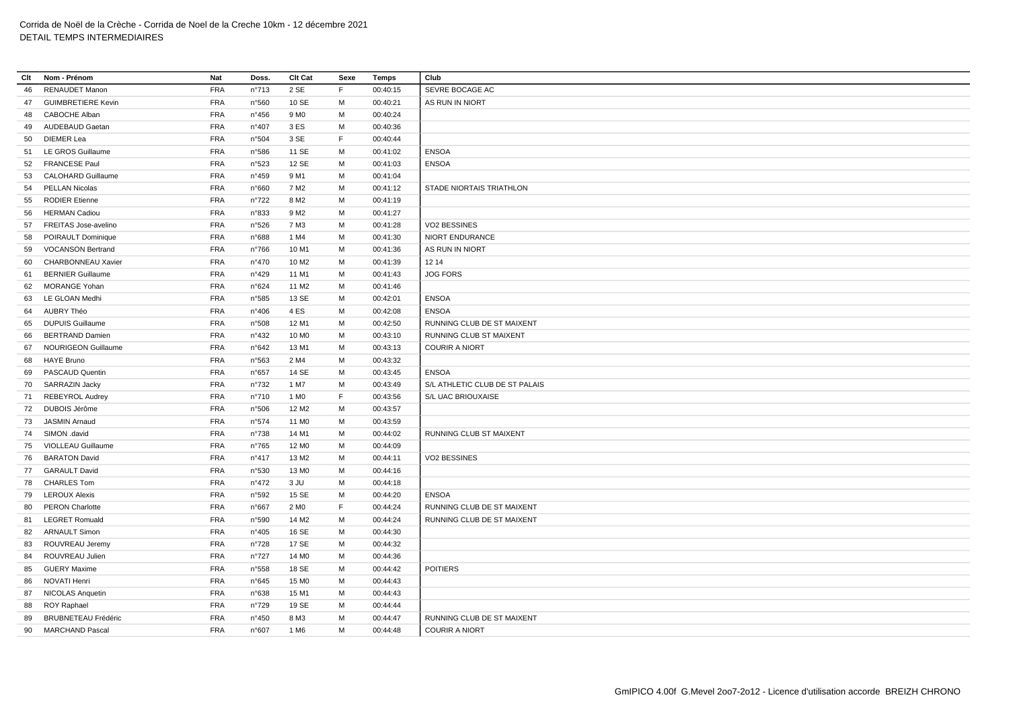| Clt | Nom - Prénom               | Nat        | Doss.          | Clt Cat           | Sexe        | <b>Temps</b> | Club                           |
|-----|----------------------------|------------|----------------|-------------------|-------------|--------------|--------------------------------|
| 46  | <b>RENAUDET Manon</b>      | <b>FRA</b> | n°713          | 2 SE              | F.          | 00:40:15     | SEVRE BOCAGE AC                |
| 47  | <b>GUIMBRETIERE Kevin</b>  | <b>FRA</b> | n°560          | 10 SE             | м           | 00:40:21     | AS RUN IN NIORT                |
| 48  | <b>CABOCHE Alban</b>       | <b>FRA</b> | n°456          | 9 M <sub>0</sub>  | M           | 00:40:24     |                                |
| 49  | AUDEBAUD Gaetan            | <b>FRA</b> | n°407          | 3 ES              | M           | 00:40:36     |                                |
| 50  | DIEMER Lea                 | <b>FRA</b> | n°504          | 3 SE              | F           | 00:40:44     |                                |
| 51  | LE GROS Guillaume          | <b>FRA</b> | n°586          | 11 SE             | M           | 00:41:02     | <b>ENSOA</b>                   |
| 52  | <b>FRANCESE Paul</b>       | <b>FRA</b> | n°523          | 12 SE             | M           | 00:41:03     | <b>ENSOA</b>                   |
| 53  | <b>CALOHARD Guillaume</b>  | <b>FRA</b> | n°459          | 9 M1              | М           | 00:41:04     |                                |
| 54  | PELLAN Nicolas             | <b>FRA</b> | n°660          | 7 M <sub>2</sub>  | М           | 00:41:12     | STADE NIORTAIS TRIATHLON       |
| 55  | <b>RODIER Etienne</b>      | <b>FRA</b> | n°722          | 8 M <sub>2</sub>  | M           | 00:41:19     |                                |
| 56  | <b>HERMAN Cadiou</b>       | <b>FRA</b> | n°833          | 9 M <sub>2</sub>  | M           | 00:41:27     |                                |
| 57  | FREITAS Jose-avelino       | <b>FRA</b> | n°526          | 7 M3              | M           | 00:41:28     | VO2 BESSINES                   |
| 58  | POIRAULT Dominique         | <b>FRA</b> | n°688          | 1 M4              | M           | 00:41:30     | <b>NIORT ENDURANCE</b>         |
| 59  | <b>VOCANSON Bertrand</b>   | <b>FRA</b> | $n^{\circ}766$ | 10 M1             | M           | 00:41:36     | AS RUN IN NIORT                |
| 60  | <b>CHARBONNEAU Xavier</b>  | <b>FRA</b> | n°470          | 10 M <sub>2</sub> | M           | 00:41:39     | 12 14                          |
| 61  | <b>BERNIER Guillaume</b>   | <b>FRA</b> | n°429          | 11 M1             | M           | 00:41:43     | <b>JOG FORS</b>                |
| 62  | <b>MORANGE Yohan</b>       | <b>FRA</b> | n°624          | 11 M <sub>2</sub> | M           | 00:41:46     |                                |
| 63  | LE GLOAN Medhi             | <b>FRA</b> | n°585          | 13 SE             | M           | 00:42:01     | <b>ENSOA</b>                   |
| 64  | AUBRY Théo                 | <b>FRA</b> | n°406          | 4ES               | M           | 00:42:08     | <b>ENSOA</b>                   |
| 65  | <b>DUPUIS Guillaume</b>    | <b>FRA</b> | n°508          | 12 M1             | м           | 00:42:50     | RUNNING CLUB DE ST MAIXENT     |
| 66  | <b>BERTRAND Damien</b>     | <b>FRA</b> | n°432          | 10 MO             | M           | 00:43:10     | RUNNING CLUB ST MAIXENT        |
| 67  | <b>NOURIGEON Guillaume</b> | <b>FRA</b> | n°642          | 13 M1             | М           | 00:43:13     | <b>COURIR A NIORT</b>          |
| 68  | <b>HAYE Bruno</b>          | <b>FRA</b> | n°563          | 2 M4              | м           | 00:43:32     |                                |
| 69  | <b>PASCAUD Quentin</b>     | <b>FRA</b> | n°657          | 14 SE             | M           | 00:43:45     | <b>ENSOA</b>                   |
| 70  | SARRAZIN Jacky             | <b>FRA</b> | $n^{\circ}732$ | 1 M7              | M           | 00:43:49     | S/L ATHLETIC CLUB DE ST PALAIS |
| 71  | <b>REBEYROL Audrey</b>     | <b>FRA</b> | n°710          | 1 M <sub>0</sub>  | F           | 00:43:56     | S/L UAC BRIOUXAISE             |
| 72  | DUBOIS Jérôme              | <b>FRA</b> | n°506          | 12 M <sub>2</sub> | М           | 00:43:57     |                                |
| 73  | <b>JASMIN Arnaud</b>       | <b>FRA</b> | n°574          | 11 M <sub>0</sub> | M           | 00:43:59     |                                |
| 74  | SIMON .david               | <b>FRA</b> | n°738          | 14 M1             | M           | 00:44:02     | RUNNING CLUB ST MAIXENT        |
| 75  | VIOLLEAU Guillaume         | <b>FRA</b> | $n^{\circ}765$ | 12 M <sub>0</sub> | M           | 00:44:09     |                                |
| 76  | <b>BARATON David</b>       | <b>FRA</b> | n°417          | 13 M2             | M           | 00:44:11     | VO2 BESSINES                   |
|     | 77 GARAULT David           | <b>FRA</b> | n°530          | 13 MO             | M           | 00:44:16     |                                |
|     | 78 CHARLES Tom             | <b>FRA</b> | $n^{\circ}472$ | 3 JU              | M           | 00:44:18     |                                |
| 79  | <b>LEROUX Alexis</b>       | <b>FRA</b> | n°592          | 15 SE             | М           | 00:44:20     | <b>ENSOA</b>                   |
| 80  | <b>PERON Charlotte</b>     | <b>FRA</b> | n°667          | 2 M <sub>0</sub>  | $\mathsf F$ | 00:44:24     | RUNNING CLUB DE ST MAIXENT     |
| 81  | <b>LEGRET Romuald</b>      | <b>FRA</b> | n°590          | 14 M <sub>2</sub> | M           | 00:44:24     | RUNNING CLUB DE ST MAIXENT     |
| 82  | <b>ARNAULT Simon</b>       | <b>FRA</b> | n°405          | 16 SE             | M           | 00:44:30     |                                |
| 83  | ROUVREAU Jeremy            | <b>FRA</b> | n°728          | 17 SE             | M           | 00:44:32     |                                |
| 84  | ROUVREAU Julien            | <b>FRA</b> | n°727          | 14 M <sub>0</sub> | М           | 00:44:36     |                                |
| 85  | <b>GUERY Maxime</b>        | <b>FRA</b> | n°558          | 18 SE             | M           | 00:44:42     | <b>POITIERS</b>                |
| 86  | NOVATI Henri               | <b>FRA</b> | n°645          | 15 M <sub>0</sub> | м           | 00:44:43     |                                |
| 87  | <b>NICOLAS Anquetin</b>    | <b>FRA</b> | n°638          | 15 M1             | М           | 00:44:43     |                                |
| 88  | ROY Raphael                | <b>FRA</b> | n°729          | 19 SE             | M           | 00:44:44     |                                |
| 89  | <b>BRUBNETEAU Frédéric</b> | <b>FRA</b> | n°450          | 8 M3              | м           | 00:44:47     | RUNNING CLUB DE ST MAIXENT     |
|     | 90 MARCHAND Pascal         | <b>FRA</b> | n°607          | 1 M <sub>6</sub>  | M           | 00:44:48     | <b>COURIR A NIORT</b>          |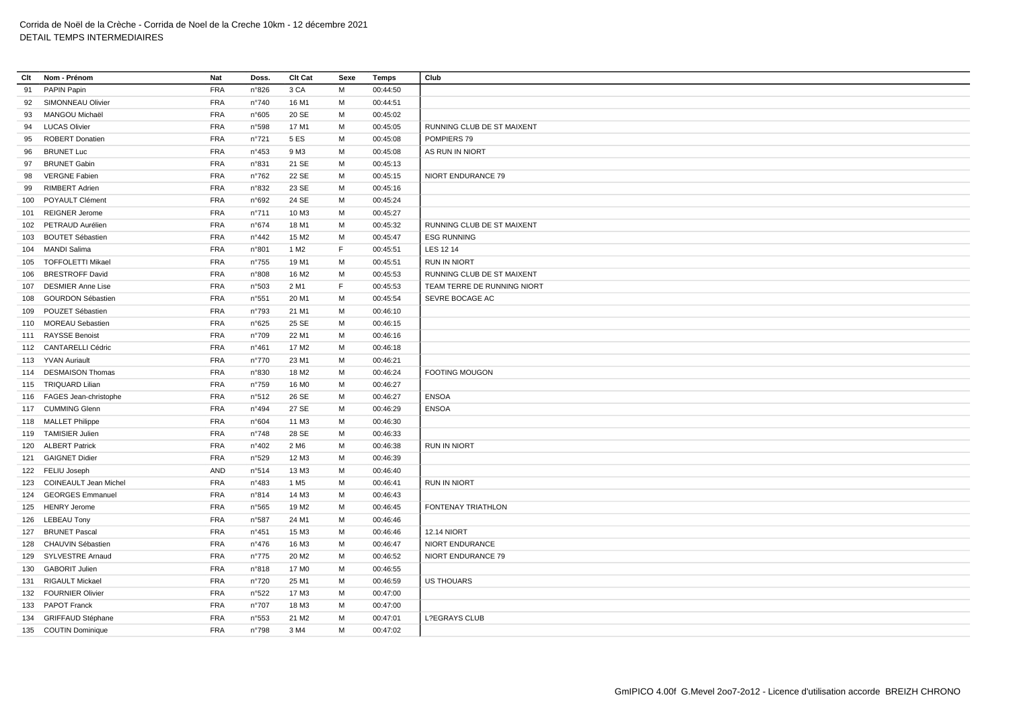| Clt | Nom - Prénom              | Nat        | Doss.          | Clt Cat           | Sexe | Temps    | Club                        |
|-----|---------------------------|------------|----------------|-------------------|------|----------|-----------------------------|
| 91  | PAPIN Papin               | <b>FRA</b> | n°826          | 3 CA              | М    | 00:44:50 |                             |
| 92  | SIMONNEAU Olivier         | <b>FRA</b> | n°740          | 16 M1             | м    | 00:44:51 |                             |
| 93  | MANGOU Michaël            | <b>FRA</b> | n°605          | 20 SE             | M    | 00:45:02 |                             |
| 94  | <b>LUCAS Olivier</b>      | FRA        | n°598          | 17 M1             | M    | 00:45:05 | RUNNING CLUB DE ST MAIXENT  |
| 95  | <b>ROBERT Donatien</b>    | <b>FRA</b> | n°721          | 5 ES              | M    | 00:45:08 | POMPIERS 79                 |
| 96  | <b>BRUNET Luc</b>         | <b>FRA</b> | n°453          | 9 M3              | M    | 00:45:08 | AS RUN IN NIORT             |
| 97  | <b>BRUNET Gabin</b>       | <b>FRA</b> | n°831          | 21 SE             | M    | 00:45:13 |                             |
| 98  | <b>VERGNE Fabien</b>      | <b>FRA</b> | n°762          | 22 SE             | M    | 00:45:15 | NIORT ENDURANCE 79          |
| 99  | <b>RIMBERT Adrien</b>     | <b>FRA</b> | n°832          | 23 SE             | M    | 00:45:16 |                             |
|     | 100 POYAULT Clément       | <b>FRA</b> | n°692          | 24 SE             | M    | 00:45:24 |                             |
|     | 101 REIGNER Jerome        | <b>FRA</b> | n°711          | 10 M3             | М    | 00:45:27 |                             |
|     | 102 PETRAUD Aurélien      | <b>FRA</b> | n°674          | 18 M1             | м    | 00:45:32 | RUNNING CLUB DE ST MAIXENT  |
|     | 103 BOUTET Sébastien      | <b>FRA</b> | $n^{\circ}442$ | 15 M2             | м    | 00:45:47 | <b>ESG RUNNING</b>          |
|     | 104 MANDI Salima          | <b>FRA</b> | n°801          | 1 M <sub>2</sub>  | F    | 00:45:51 | LES 12 14                   |
|     | 105 TOFFOLETTI Mikael     | <b>FRA</b> | n°755          | 19 M1             | M    | 00:45:51 | <b>RUN IN NIORT</b>         |
| 106 | <b>BRESTROFF David</b>    | <b>FRA</b> | n°808          | 16 M <sub>2</sub> | M    | 00:45:53 | RUNNING CLUB DE ST MAIXENT  |
|     | 107 DESMIER Anne Lise     | <b>FRA</b> | n°503          | 2 M1              | F    | 00:45:53 | TEAM TERRE DE RUNNING NIORT |
| 108 | <b>GOURDON Sébastien</b>  | <b>FRA</b> | n°551          | 20 M1             | М    | 00:45:54 | SEVRE BOCAGE AC             |
|     | 109 POUZET Sébastien      | <b>FRA</b> | n°793          | 21 M1             | M    | 00:46:10 |                             |
|     | 110 MOREAU Sebastien      | <b>FRA</b> | n°625          | 25 SE             | M    | 00:46:15 |                             |
|     | 111 RAYSSE Benoist        | <b>FRA</b> | n°709          | 22 M1             | M    | 00:46:16 |                             |
|     | 112 CANTARELLI Cédric     | <b>FRA</b> | n°461          | 17 M <sub>2</sub> | M    | 00:46:18 |                             |
|     | 113 YVAN Auriault         | <b>FRA</b> | $n^{\circ}770$ | 23 M1             | M    | 00:46:21 |                             |
|     | 114 DESMAISON Thomas      | <b>FRA</b> | n°830          | 18 M2             | M    | 00:46:24 | <b>FOOTING MOUGON</b>       |
|     | 115 TRIQUARD Lilian       | <b>FRA</b> | n°759          | 16 M <sub>0</sub> | M    | 00:46:27 |                             |
|     | 116 FAGES Jean-christophe | <b>FRA</b> | n°512          | 26 SE             | M    | 00:46:27 | <b>ENSOA</b>                |
|     | 117 CUMMING Glenn         | <b>FRA</b> | n°494          | 27 SE             | M    | 00:46:29 | <b>ENSOA</b>                |
|     | 118 MALLET Philippe       | <b>FRA</b> | n°604          | 11 M3             | M    | 00:46:30 |                             |
|     | 119 TAMISIER Julien       | <b>FRA</b> | n°748          | 28 SE             | M    | 00:46:33 |                             |
|     | 120 ALBERT Patrick        | <b>FRA</b> | n°402          | 2 M <sub>6</sub>  | M    | 00:46:38 | <b>RUN IN NIORT</b>         |
|     | 121 GAIGNET Didier        | <b>FRA</b> | n°529          | 12 M3             | M    | 00:46:39 |                             |
|     | 122 FELIU Joseph          | <b>AND</b> | n°514          | 13 M3             | м    | 00:46:40 |                             |
|     | 123 COINEAULT Jean Michel | <b>FRA</b> | n°483          | 1 M <sub>5</sub>  | м    | 00:46:41 | <b>RUN IN NIORT</b>         |
|     | 124 GEORGES Emmanuel      | <b>FRA</b> | n°814          | 14 M3             | M    | 00:46:43 |                             |
|     | 125 HENRY Jerome          | <b>FRA</b> | n°565          | 19 M <sub>2</sub> | M    | 00:46:45 | FONTENAY TRIATHLON          |
|     | 126 LEBEAU Tony           | <b>FRA</b> | n°587          | 24 M1             | M    | 00:46:46 |                             |
|     | 127 BRUNET Pascal         | <b>FRA</b> | n°451          | 15 M3             | М    | 00:46:46 | <b>12.14 NIORT</b>          |
|     | 128 CHAUVIN Sébastien     | <b>FRA</b> | $n^{\circ}476$ | 16 M3             | M    | 00:46:47 | NIORT ENDURANCE             |
|     | 129 SYLVESTRE Arnaud      | <b>FRA</b> | n°775          | 20 M <sub>2</sub> | М    | 00:46:52 | NIORT ENDURANCE 79          |
|     | 130 GABORIT Julien        | <b>FRA</b> | n°818          | 17 M <sub>0</sub> | M    | 00:46:55 |                             |
|     | 131 RIGAULT Mickael       | <b>FRA</b> | n°720          | 25 M1             | M    | 00:46:59 | <b>US THOUARS</b>           |
|     | 132 FOURNIER Olivier      | <b>FRA</b> | n°522          | 17 M3             | м    | 00:47:00 |                             |
|     | 133 PAPOT Franck          | <b>FRA</b> | n°707          | 18 M3             | M    | 00:47:00 |                             |
|     | 134 GRIFFAUD Stéphane     | <b>FRA</b> | n°553          | 21 M <sub>2</sub> | M    | 00:47:01 | <b>L?EGRAYS CLUB</b>        |
|     | 135 COUTIN Dominique      | <b>FRA</b> | n°798          | 3 M4              | M    | 00:47:02 |                             |
|     |                           |            |                |                   |      |          |                             |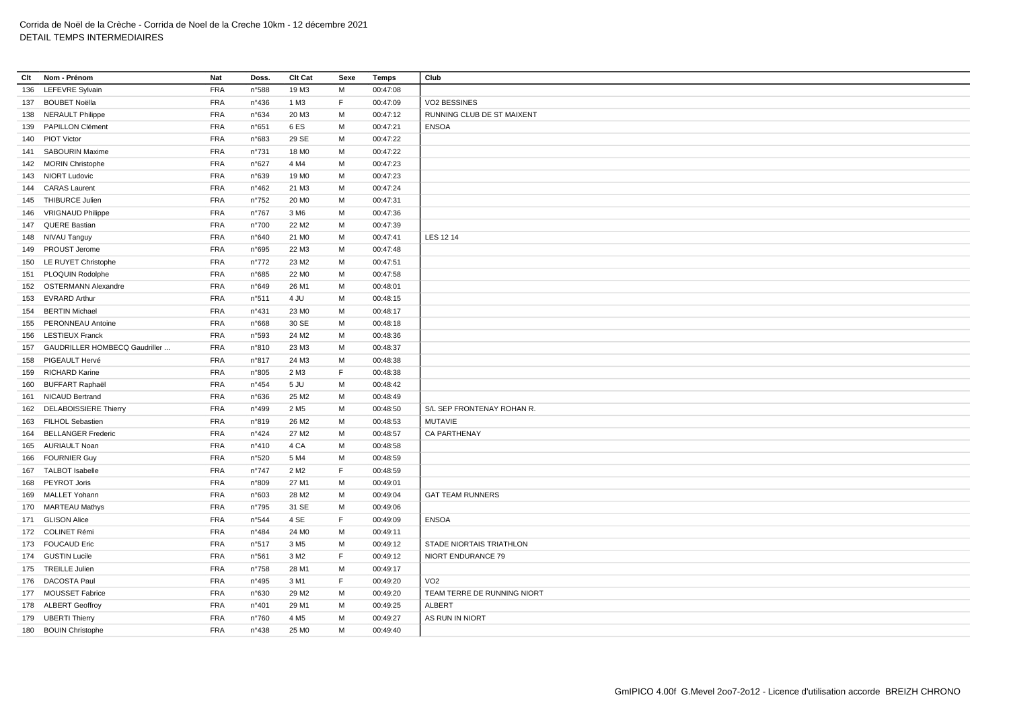| Clt | Nom - Prénom                  | Nat        | Doss.          | <b>Clt Cat</b>    | Sexe        | Temps    | Club                        |
|-----|-------------------------------|------------|----------------|-------------------|-------------|----------|-----------------------------|
| 136 | <b>LEFEVRE Sylvain</b>        | <b>FRA</b> | n°588          | 19 M3             | M           | 00:47:08 |                             |
|     | 137 BOUBET Noëlla             | <b>FRA</b> | n°436          | 1 M3              | F           | 00:47:09 | VO2 BESSINES                |
| 138 | <b>NERAULT Philippe</b>       | <b>FRA</b> | n°634          | 20 M3             | M           | 00:47:12 | RUNNING CLUB DE ST MAIXENT  |
|     | 139 PAPILLON Clément          | <b>FRA</b> | n°651          | 6 ES              | M           | 00:47:21 | <b>ENSOA</b>                |
| 140 | <b>PIOT Victor</b>            | <b>FRA</b> | n°683          | 29 SE             | M           | 00:47:22 |                             |
| 141 | <b>SABOURIN Maxime</b>        | <b>FRA</b> | $n^{\circ}731$ | 18 M <sub>0</sub> | M           | 00:47:22 |                             |
|     | 142 MORIN Christophe          | <b>FRA</b> | n°627          | 4 M4              | M           | 00:47:23 |                             |
|     | 143 NIORT Ludovic             | <b>FRA</b> | n°639          | 19 M <sub>0</sub> | M           | 00:47:23 |                             |
| 144 | <b>CARAS</b> Laurent          | <b>FRA</b> | n°462          | 21 M3             | M           | 00:47:24 |                             |
|     | 145 THIBURCE Julien           | <b>FRA</b> | $n^{\circ}752$ | 20 M <sub>0</sub> | M           | 00:47:31 |                             |
|     | 146 VRIGNAUD Philippe         | <b>FRA</b> | $n^{\circ}767$ | 3 M <sub>6</sub>  | М           | 00:47:36 |                             |
|     | 147 QUERE Bastian             | <b>FRA</b> | n°700          | 22 M <sub>2</sub> | M           | 00:47:39 |                             |
|     | 148 NIVAU Tanguy              | <b>FRA</b> | n°640          | 21 M <sub>0</sub> | M           | 00:47:41 | LES 12 14                   |
|     | 149 PROUST Jerome             | <b>FRA</b> | n°695          | 22 M3             | M           | 00:47:48 |                             |
|     | 150 LE RUYET Christophe       | <b>FRA</b> | $n^{\circ}772$ | 23 M <sub>2</sub> | M           | 00:47:51 |                             |
| 151 | <b>PLOQUIN Rodolphe</b>       | <b>FRA</b> | n°685          | 22 M <sub>0</sub> | М           | 00:47:58 |                             |
|     | 152 OSTERMANN Alexandre       | <b>FRA</b> | n°649          | 26 M1             | M           | 00:48:01 |                             |
|     | 153 EVRARD Arthur             | <b>FRA</b> | n°511          | 4 JU              | M           | 00:48:15 |                             |
| 154 | <b>BERTIN Michael</b>         | <b>FRA</b> | $n^{\circ}431$ | 23 MO             | M           | 00:48:17 |                             |
| 155 | PERONNEAU Antoine             | <b>FRA</b> | n°668          | 30 SE             | M           | 00:48:18 |                             |
| 156 | <b>LESTIEUX Franck</b>        | <b>FRA</b> | n°593          | 24 M <sub>2</sub> | M           | 00:48:36 |                             |
| 157 | GAUDRILLER HOMBECQ Gaudriller | <b>FRA</b> | n°810          | 23 M3             | M           | 00:48:37 |                             |
| 158 | PIGEAULT Hervé                | <b>FRA</b> | n°817          | 24 M3             | М           | 00:48:38 |                             |
|     | 159 RICHARD Karine            | <b>FRA</b> | n°805          | 2 M3              | $\mathsf F$ | 00:48:38 |                             |
|     | 160 BUFFART Raphaël           | <b>FRA</b> | $n^{\circ}454$ | 5 JU              | M           | 00:48:42 |                             |
|     | 161 NICAUD Bertrand           | <b>FRA</b> | n°636          | 25 M <sub>2</sub> | M           | 00:48:49 |                             |
|     | 162 DELABOISSIERE Thierry     | <b>FRA</b> | n°499          | 2 M <sub>5</sub>  | M           | 00:48:50 | S/L SEP FRONTENAY ROHAN R.  |
|     | 163 FILHOL Sebastien          | <b>FRA</b> | n°819          | 26 M <sub>2</sub> | M           | 00:48:53 | <b>MUTAVIE</b>              |
| 164 | <b>BELLANGER Frederic</b>     | <b>FRA</b> | n°424          | 27 M2             | М           | 00:48:57 | <b>CA PARTHENAY</b>         |
|     | 165 AURIAULT Noan             | <b>FRA</b> | n°410          | 4 CA              | M           | 00:48:58 |                             |
|     | 166 FOURNIER Guy              | <b>FRA</b> | n°520          | 5 M4              | M           | 00:48:59 |                             |
|     | 167 TALBOT Isabelle           | <b>FRA</b> | $n^{\circ}747$ | 2 M <sub>2</sub>  | F           | 00:48:59 |                             |
|     | 168 PEYROT Joris              | <b>FRA</b> | n°809          | 27 M1             | M           | 00:49:01 |                             |
|     | 169 MALLET Yohann             | <b>FRA</b> | n°603          | 28 M2             | M           | 00:49:04 | <b>GAT TEAM RUNNERS</b>     |
|     | 170 MARTEAU Mathys            | <b>FRA</b> | n°795          | 31 SE             | M           | 00:49:06 |                             |
|     | 171 GLISON Alice              | <b>FRA</b> | n°544          | 4 SE              | F           | 00:49:09 | <b>ENSOA</b>                |
|     | 172 COLINET Rémi              | <b>FRA</b> | n°484          | 24 M <sub>0</sub> | M           | 00:49:11 |                             |
|     | 173 FOUCAUD Eric              | <b>FRA</b> | n°517          | 3 M <sub>5</sub>  | M           | 00:49:12 | STADE NIORTAIS TRIATHLON    |
|     | 174 GUSTIN Lucile             | <b>FRA</b> | n°561          | 3 M <sub>2</sub>  | F           | 00:49:12 | NIORT ENDURANCE 79          |
|     | 175 TREILLE Julien            | <b>FRA</b> | $n^{\circ}758$ | 28 M1             | М           | 00:49:17 |                             |
|     | 176 DACOSTA Paul              | <b>FRA</b> | n°495          | 3 M1              | F           | 00:49:20 | VO <sub>2</sub>             |
|     | 177 MOUSSET Fabrice           | <b>FRA</b> | n°630          | 29 M <sub>2</sub> | М           | 00:49:20 | TEAM TERRE DE RUNNING NIORT |
|     | 178 ALBERT Geoffroy           | <b>FRA</b> | $n^{\circ}401$ | 29 M1             | M           | 00:49:25 | <b>ALBERT</b>               |
|     | 179 UBERTI Thierry            | <b>FRA</b> | n°760          | 4 M <sub>5</sub>  | M           | 00:49:27 | AS RUN IN NIORT             |
|     | 180 BOUIN Christophe          | <b>FRA</b> | n°438          | 25 M <sub>0</sub> | M           | 00:49:40 |                             |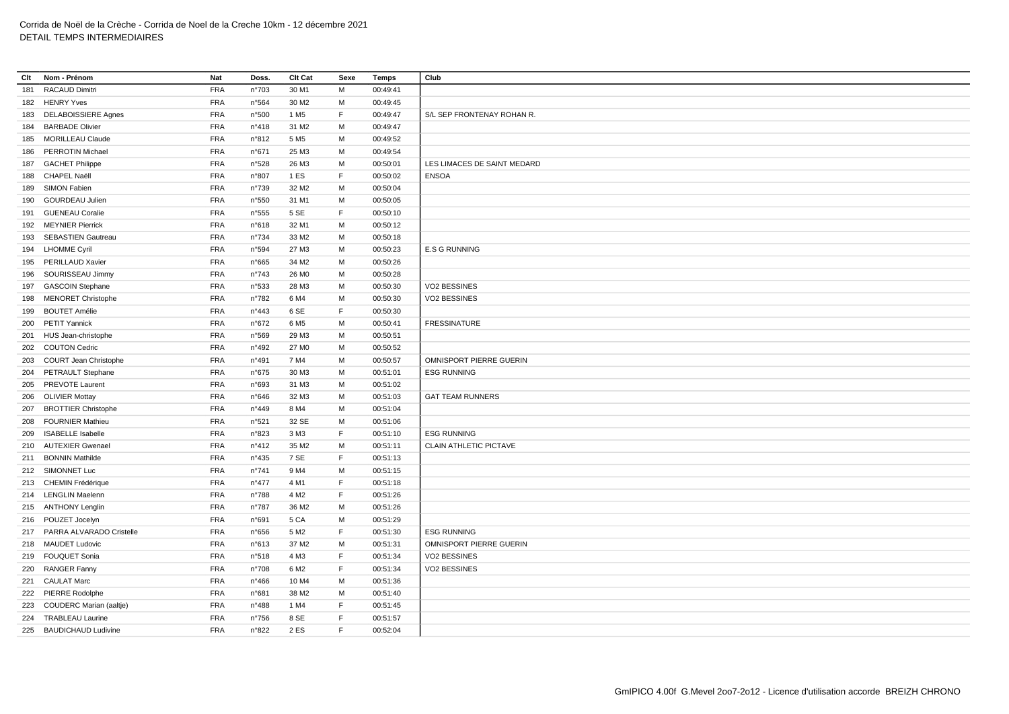| Clt | Nom - Prénom                | Nat        | Doss.          | Clt Cat           | Sexe        | <b>Temps</b> | Club                        |
|-----|-----------------------------|------------|----------------|-------------------|-------------|--------------|-----------------------------|
| 181 | <b>RACAUD Dimitri</b>       | <b>FRA</b> | n°703          | 30 M1             | M           | 00:49:41     |                             |
|     | 182 HENRY Yves              | <b>FRA</b> | n°564          | 30 M2             | M           | 00:49:45     |                             |
| 183 | <b>DELABOISSIERE Agnes</b>  | <b>FRA</b> | n°500          | 1 M <sub>5</sub>  | F           | 00:49:47     | S/L SEP FRONTENAY ROHAN R.  |
| 184 | <b>BARBADE Olivier</b>      | <b>FRA</b> | n°418          | 31 M2             | M           | 00:49:47     |                             |
| 185 | <b>MORILLEAU Claude</b>     | <b>FRA</b> | n°812          | 5 M <sub>5</sub>  | M           | 00:49:52     |                             |
| 186 | <b>PERROTIN Michael</b>     | <b>FRA</b> | n°671          | 25 M3             | M           | 00:49:54     |                             |
| 187 | <b>GACHET Philippe</b>      | <b>FRA</b> | n°528          | 26 M3             | M           | 00:50:01     | LES LIMACES DE SAINT MEDARD |
| 188 | CHAPEL Naëll                | <b>FRA</b> | n°807          | 1 ES              | F           | 00:50:02     | <b>ENSOA</b>                |
| 189 | SIMON Fabien                | <b>FRA</b> | n°739          | 32 M2             | M           | 00:50:04     |                             |
| 190 | <b>GOURDEAU Julien</b>      | <b>FRA</b> | n°550          | 31 M1             | м           | 00:50:05     |                             |
| 191 | <b>GUENEAU Coralie</b>      | <b>FRA</b> | n°555          | 5 SE              | $\mathsf F$ | 00:50:10     |                             |
|     | 192 MEYNIER Pierrick        | <b>FRA</b> | n°618          | 32 M1             | M           | 00:50:12     |                             |
| 193 | <b>SEBASTIEN Gautreau</b>   | <b>FRA</b> | n°734          | 33 M2             | M           | 00:50:18     |                             |
| 194 | <b>LHOMME Cyril</b>         | <b>FRA</b> | n°594          | 27 M3             | M           | 00:50:23     | <b>E.S G RUNNING</b>        |
|     | 195 PERILLAUD Xavier        | <b>FRA</b> | n°665          | 34 M2             | M           | 00:50:26     |                             |
| 196 | SOURISSEAU Jimmy            | <b>FRA</b> | n°743          | 26 M <sub>0</sub> | M           | 00:50:28     |                             |
|     | 197 GASCOIN Stephane        | <b>FRA</b> | n°533          | 28 M3             | м           | 00:50:30     | VO2 BESSINES                |
| 198 | <b>MENORET Christophe</b>   | <b>FRA</b> | n°782          | 6 M4              | M           | 00:50:30     | VO2 BESSINES                |
| 199 | <b>BOUTET Amélie</b>        | <b>FRA</b> | $n^{\circ}443$ | 6 SE              | F           | 00:50:30     |                             |
| 200 | <b>PETIT Yannick</b>        | <b>FRA</b> | n°672          | 6 M <sub>5</sub>  | м           | 00:50:41     | <b>FRESSINATURE</b>         |
|     | 201 HUS Jean-christophe     | <b>FRA</b> | n°569          | 29 M3             | M           | 00:50:51     |                             |
|     | 202 COUTON Cedric           | <b>FRA</b> | n°492          | 27 M <sub>0</sub> | M           | 00:50:52     |                             |
|     | 203 COURT Jean Christophe   | <b>FRA</b> | n°491          | 7 M4              | M           | 00:50:57     | OMNISPORT PIERRE GUERIN     |
| 204 | PETRAULT Stephane           | <b>FRA</b> | n°675          | 30 M3             | M           | 00:51:01     | <b>ESG RUNNING</b>          |
|     | 205 PREVOTE Laurent         | <b>FRA</b> | n°693          | 31 M3             | M           | 00:51:02     |                             |
| 206 | <b>OLIVIER Mottay</b>       | <b>FRA</b> | n°646          | 32 M3             | M           | 00:51:03     | <b>GAT TEAM RUNNERS</b>     |
| 207 | <b>BROTTIER Christophe</b>  | <b>FRA</b> | n°449          | 8 M4              | M           | 00:51:04     |                             |
| 208 | <b>FOURNIER Mathieu</b>     | <b>FRA</b> | n°521          | 32 SE             | М           | 00:51:06     |                             |
| 209 | <b>ISABELLE Isabelle</b>    | <b>FRA</b> | n°823          | 3 M3              | $\mathsf F$ | 00:51:10     | <b>ESG RUNNING</b>          |
|     | 210 AUTEXIER Gwenael        | <b>FRA</b> | n°412          | 35 M2             | M           | 00:51:11     | CLAIN ATHLETIC PICTAVE      |
| 211 | <b>BONNIN Mathilde</b>      | <b>FRA</b> | $n^{\circ}435$ | 7 SE              | F           | 00:51:13     |                             |
|     | 212 SIMONNET Luc            | <b>FRA</b> | $n^{\circ}741$ | 9 M4              | M           | 00:51:15     |                             |
|     | 213 CHEMIN Frédérique       | <b>FRA</b> | $n^{\circ}477$ | 4 M1              | F           | 00:51:18     |                             |
|     | 214 LENGLIN Maelenn         | <b>FRA</b> | n°788          | 4 M <sub>2</sub>  | F           | 00:51:26     |                             |
|     | 215 ANTHONY Lenglin         | <b>FRA</b> | n°787          | 36 M <sub>2</sub> | M           | 00:51:26     |                             |
|     | 216 POUZET Jocelyn          | <b>FRA</b> | n°691          | 5 CA              | M           | 00:51:29     |                             |
| 217 | PARRA ALVARADO Cristelle    | <b>FRA</b> | n°656          | 5 M <sub>2</sub>  | $\mathsf F$ | 00:51:30     | <b>ESG RUNNING</b>          |
|     | 218 MAUDET Ludovic          | <b>FRA</b> | n°613          | 37 M2             | M           | 00:51:31     | OMNISPORT PIERRE GUERIN     |
| 219 | <b>FOUQUET Sonia</b>        | <b>FRA</b> | n°518          | 4 M3              | F.          | 00:51:34     | VO2 BESSINES                |
| 220 | <b>RANGER Fanny</b>         | <b>FRA</b> | n°708          | 6 M <sub>2</sub>  | F           | 00:51:34     | VO2 BESSINES                |
|     | 221 CAULAT Marc             | <b>FRA</b> | $n^{\circ}466$ | 10 M4             | M           | 00:51:36     |                             |
|     | 222 PIERRE Rodolphe         | <b>FRA</b> | n°681          | 38 M2             | M           | 00:51:40     |                             |
|     | 223 COUDERC Marian (aaltje) | <b>FRA</b> | n°488          | 1 M4              | E           | 00:51:45     |                             |
| 224 | <b>TRABLEAU Laurine</b>     | <b>FRA</b> | n°756          | 8 SE              | F           | 00:51:57     |                             |
|     | 225 BAUDICHAUD Ludivine     | <b>FRA</b> | n°822          | 2 ES              | E           | 00:52:04     |                             |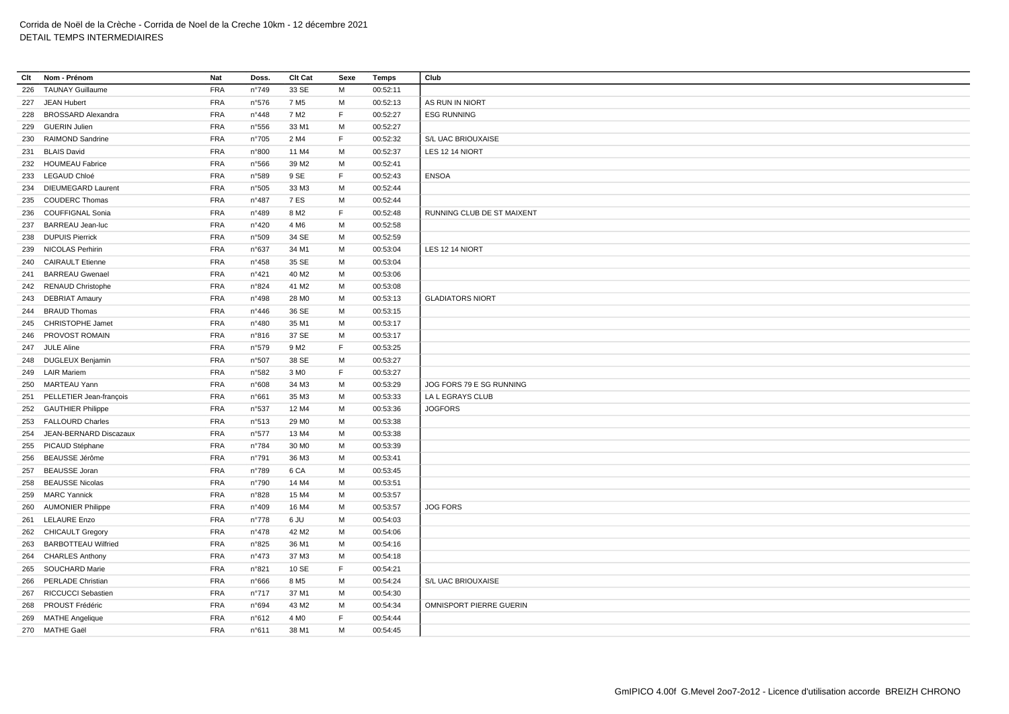| Clt | Nom - Prénom              | Nat        | Doss.          | Clt Cat           | Sexe        | <b>Temps</b>         | Club                       |
|-----|---------------------------|------------|----------------|-------------------|-------------|----------------------|----------------------------|
| 226 | <b>TAUNAY Guillaume</b>   | <b>FRA</b> | n°749          | 33 SE             | M           | 00:52:11             |                            |
|     | 227 JEAN Hubert           | <b>FRA</b> | n°576          | 7 M <sub>5</sub>  | M           | 00:52:13             | AS RUN IN NIORT            |
| 228 | <b>BROSSARD Alexandra</b> | <b>FRA</b> | $n^{\circ}448$ | 7 M <sub>2</sub>  | F           | 00:52:27             | <b>ESG RUNNING</b>         |
| 229 | <b>GUERIN Julien</b>      | <b>FRA</b> | n°556          | 33 M1             | M           | 00:52:27             |                            |
| 230 | <b>RAIMOND Sandrine</b>   | <b>FRA</b> | n°705          | 2 M4              | E           | 00:52:32             | S/L UAC BRIOUXAISE         |
| 231 | <b>BLAIS David</b>        | <b>FRA</b> | n°800          | 11 M4             | M           | 00:52:37             | LES 12 14 NIORT            |
|     | 232 HOUMEAU Fabrice       | <b>FRA</b> | n°566          | 39 M <sub>2</sub> | M           | 00:52:41             |                            |
|     | 233 LEGAUD Chloé          | <b>FRA</b> | n°589          | 9 SE              | $\mathsf F$ | 00:52:43             | <b>ENSOA</b>               |
|     | 234 DIEUMEGARD Laurent    | <b>FRA</b> | n°505          | 33 M3             | M           | 00:52:44             |                            |
|     | 235 COUDERC Thomas        | <b>FRA</b> | n°487          | 7 ES              | М           | 00:52:44             |                            |
| 236 | <b>COUFFIGNAL Sonia</b>   | <b>FRA</b> | n°489          | 8 M <sub>2</sub>  | E           | 00:52:48             | RUNNING CLUB DE ST MAIXENT |
|     | 237 BARREAU Jean-luc      | <b>FRA</b> | n°420          | 4 M <sub>6</sub>  | M           | 00:52:58             |                            |
|     | 238 DUPUIS Pierrick       | <b>FRA</b> | n°509          | 34 SE             | M           | 00:52:59             |                            |
|     | 239 NICOLAS Perhirin      | <b>FRA</b> | n°637          | 34 M1             | м           | 00:53:04             | LES 12 14 NIORT            |
| 240 | <b>CAIRAULT Etienne</b>   | <b>FRA</b> | n°458          | 35 SE             | M           | 00:53:04             |                            |
| 241 | <b>BARREAU Gwenael</b>    | <b>FRA</b> | n°421          | 40 M <sub>2</sub> | м           | 00:53:06             |                            |
|     | 242 RENAUD Christophe     | <b>FRA</b> | n°824          | 41 M2             | M           | 00:53:08             |                            |
|     | 243 DEBRIAT Amaury        | <b>FRA</b> | n°498          | 28 M <sub>0</sub> | м           | 00:53:13             | <b>GLADIATORS NIORT</b>    |
| 244 | <b>BRAUD Thomas</b>       | <b>FRA</b> | n°446          | 36 SE             | M           | 00:53:15             |                            |
|     | 245 CHRISTOPHE Jamet      | <b>FRA</b> | n°480          | 35 M1             | M           | 00:53:17             |                            |
| 246 | PROVOST ROMAIN            | <b>FRA</b> | n°816          | 37 SE             | M           | 00:53:17             |                            |
|     | 247 JULE Aline            | <b>FRA</b> | n°579          | 9 M <sub>2</sub>  | F           | 00:53:25             |                            |
|     | 248 DUGLEUX Benjamin      | <b>FRA</b> | n°507          | 38 SE             | M           | 00:53:27             |                            |
|     | 249 LAIR Mariem           | <b>FRA</b> | n°582          | 3 M <sub>0</sub>  | E           | 00:53:27             |                            |
|     | 250 MARTEAU Yann          | <b>FRA</b> | n°608          | 34 M3             | M           | 00:53:29             | JOG FORS 79 E SG RUNNING   |
| 251 | PELLETIER Jean-françois   | <b>FRA</b> | n°661          | 35 M3             | M           | 00:53:33             | LA L EGRAYS CLUB           |
|     | 252 GAUTHIER Philippe     | <b>FRA</b> | n°537          | 12 M4             | M           | 00:53:36             | <b>JOGFORS</b>             |
|     | 253 FALLOURD Charles      | <b>FRA</b> | n°513          | 29 M <sub>0</sub> | м           | 00:53:38             |                            |
| 254 | JEAN-BERNARD Discazaux    | <b>FRA</b> | n°577          | 13 M4             | M           | 00:53:38             |                            |
|     | 255 PICAUD Stéphane       | <b>FRA</b> | n°784          | 30 M <sub>0</sub> | M           | 00:53:39             |                            |
|     | 256 BEAUSSE Jérôme        | <b>FRA</b> | n°791          | 36 M3             | м           | 00:53:41             |                            |
|     | <b>BEAUSSE Joran</b>      | <b>FRA</b> | n°789          | 6 <sub>CA</sub>   | M           | 00:53:45             |                            |
| 257 | <b>BEAUSSE Nicolas</b>    | <b>FRA</b> |                | 14 M4             | м           |                      |                            |
| 258 | <b>MARC Yannick</b>       | <b>FRA</b> | n°790          | 15 M4             |             | 00:53:51<br>00:53:57 |                            |
| 259 |                           | <b>FRA</b> | n°828          |                   | М           |                      | <b>JOG FORS</b>            |
|     | 260 AUMONIER Philippe     |            | n°409          | 16 M4             | M           | 00:53:57             |                            |
| 261 | <b>LELAURE Enzo</b>       | <b>FRA</b> | $n^{\circ}778$ | 6 JU              | М           | 00:54:03             |                            |
|     | 262 CHICAULT Gregory      | <b>FRA</b> | $n^{\circ}478$ | 42 M <sub>2</sub> | M           | 00:54:06             |                            |
|     | 263 BARBOTTEAU Wilfried   | <b>FRA</b> | n°825          | 36 M1             | м           | 00:54:16             |                            |
| 264 | <b>CHARLES Anthony</b>    | <b>FRA</b> | $n^{\circ}473$ | 37 M3             | M           | 00:54:18             |                            |
|     | 265 SOUCHARD Marie        | <b>FRA</b> | n°821          | 10 SE             | $\mathsf F$ | 00:54:21             |                            |
|     | 266 PERLADE Christian     | <b>FRA</b> | n°666          | 8 M <sub>5</sub>  | M           | 00:54:24             | S/L UAC BRIOUXAISE         |
|     | 267 RICCUCCI Sebastien    | <b>FRA</b> | $n^{\circ}717$ | 37 M1             | M           | 00:54:30             |                            |
| 268 | PROUST Frédéric           | <b>FRA</b> | n°694          | 43 M2             | M           | 00:54:34             | OMNISPORT PIERRE GUERIN    |
|     | 269 MATHE Angelique       | <b>FRA</b> | n°612          | 4 M <sub>0</sub>  | E           | 00:54:44             |                            |
|     | 270 MATHE Gaël            | <b>FRA</b> | n°611          | 38 M1             | М           | 00:54:45             |                            |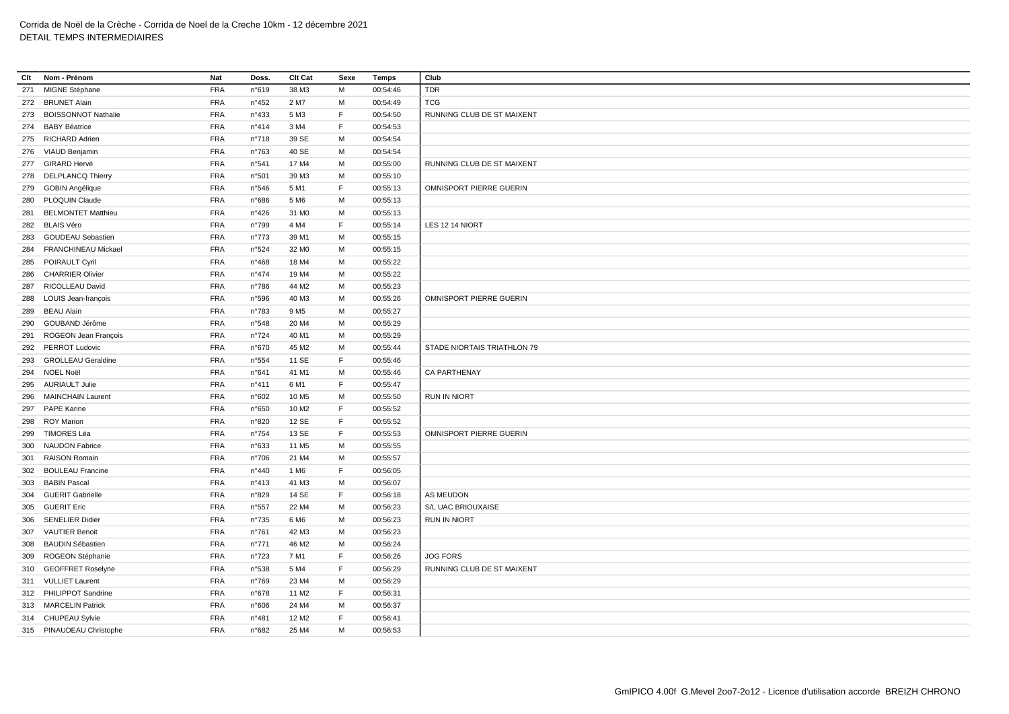| Clt        | Nom - Prénom              | Nat                      | Doss.          | Clt Cat           | Sexe        | Temps                | Club                        |
|------------|---------------------------|--------------------------|----------------|-------------------|-------------|----------------------|-----------------------------|
|            | 271 MIGNE Stéphane        | <b>FRA</b>               | n°619          | 38 M3             | M           | 00:54:46             | <b>TDR</b>                  |
|            | 272 BRUNET Alain          | <b>FRA</b>               | $n^{\circ}452$ | 2 M7              | м           | 00:54:49             | <b>TCG</b>                  |
|            | 273 BOISSONNOT Nathalie   | <b>FRA</b>               | n°433          | 5 M3              | E           | 00:54:50             | RUNNING CLUB DE ST MAIXENT  |
| 274        | <b>BABY Béatrice</b>      | <b>FRA</b>               | n°414          | 3 M4              | F           | 00:54:53             |                             |
|            | 275 RICHARD Adrien        | FRA                      | n°718          | 39 SE             | M           | 00:54:54             |                             |
| 276        | VIAUD Benjamin            | <b>FRA</b>               | $n^{\circ}763$ | 40 SE             | м           | 00:54:54             |                             |
|            | 277 GIRARD Hervé          | <b>FRA</b>               | n°541          | 17 M4             | M           | 00:55:00             | RUNNING CLUB DE ST MAIXENT  |
| 278        | <b>DELPLANCQ Thierry</b>  | <b>FRA</b>               | n°501          | 39 M3             | M           | 00:55:10             |                             |
|            | 279 GOBIN Angélique       | <b>FRA</b>               | n°546          | 5 M1              | F           | 00:55:13             | OMNISPORT PIERRE GUERIN     |
|            | 280 PLOQUIN Claude        | <b>FRA</b>               | n°686          | 5 M <sub>6</sub>  | M           | 00:55:13             |                             |
| 281        | <b>BELMONTET Matthieu</b> | <b>FRA</b>               | n°426          | 31 M <sub>0</sub> | M           | 00:55:13             |                             |
|            | 282 BLAIS Véro            | <b>FRA</b>               | n°799          | 4 M4              | E           | 00:55:14             | LES 12 14 NIORT             |
| 283        | <b>GOUDEAU Sebastien</b>  | <b>FRA</b>               | $n^{\circ}773$ | 39 M1             | M           | 00:55:15             |                             |
| 284        | FRANCHINEAU Mickael       | FRA                      | n°524          | 32 M <sub>0</sub> | м           | 00:55:15             |                             |
| 285        | <b>POIRAULT Cyril</b>     | <b>FRA</b>               | $n^{\circ}468$ | 18 M4             | м           | 00:55:22             |                             |
| 286        | <b>CHARRIER Olivier</b>   | <b>FRA</b>               | $n^{\circ}474$ | 19 M4             | M           | 00:55:22             |                             |
| 287        | RICOLLEAU David           | <b>FRA</b>               | $n^{\circ}786$ | 44 M2             | M           | 00:55:23             |                             |
| 288        | LOUIS Jean-françois       | <b>FRA</b>               | n°596          | 40 M3             | м           | 00:55:26             | OMNISPORT PIERRE GUERIN     |
| 289        | <b>BEAU Alain</b>         | <b>FRA</b>               | n°783          | 9 M <sub>5</sub>  | M           | 00:55:27             |                             |
| 290        | GOUBAND Jérôme            | FRA                      | n°548          | 20 M4             | M           | 00:55:29             |                             |
| 291        | ROGEON Jean François      | <b>FRA</b>               | $n^{\circ}724$ | 40 M1             | м           | 00:55:29             |                             |
|            | 292 PERROT Ludovic        | <b>FRA</b>               | n°670          | 45 M2             | M           | 00:55:44             | STADE NIORTAIS TRIATHLON 79 |
| 293        | <b>GROLLEAU Geraldine</b> | <b>FRA</b>               | n°554          | 11 SE             | F           | 00:55:46             |                             |
| 294        | NOEL Noël                 | <b>FRA</b>               | n°641          | 41 M1             | M           | 00:55:46             | CA PARTHENAY                |
|            | 295 AURIAULT Julie        | <b>FRA</b>               | n°411          | 6 M1              | F           | 00:55:47             |                             |
| 296        | <b>MAINCHAIN Laurent</b>  | <b>FRA</b>               | n°602          | 10 M <sub>5</sub> | M           | 00:55:50             | <b>RUN IN NIORT</b>         |
| 297        | <b>PAPE Karine</b>        | FRA                      | n°650          | 10 M <sub>2</sub> | F           | 00:55:52             |                             |
| 298        | <b>ROY Marion</b>         | <b>FRA</b>               | n°820          | 12 SE             | F           | 00:55:52             |                             |
| 299        | TIMORES Léa               | <b>FRA</b>               | n°754          | 13 SE             | E           | 00:55:53             | OMNISPORT PIERRE GUERIN     |
| 300        | <b>NAUDON Fabrice</b>     | FRA                      | n°633          | 11 M <sub>5</sub> | M           | 00:55:55             |                             |
| 301        | <b>RAISON Romain</b>      | <b>FRA</b>               | $n^{\circ}706$ | 21 M4             | M           | 00:55:57             |                             |
|            | <b>BOULEAU Francine</b>   | <b>FRA</b>               | n°440          | 1 M <sub>6</sub>  | $\mathsf F$ | 00:56:05             |                             |
| 302<br>303 | <b>BABIN Pascal</b>       | <b>FRA</b>               | n°413          | 41 M3             | M           |                      |                             |
| 304        | <b>GUERIT Gabrielle</b>   | <b>FRA</b>               | n°829          | 14 SE             | F           | 00:56:07<br>00:56:18 | AS MEUDON                   |
|            | <b>GUERIT Eric</b>        | <b>FRA</b>               |                | 22 M4             | M           | 00:56:23             | S/L UAC BRIOUXAISE          |
| 305        | 306 SENELIER Didier       | <b>FRA</b>               | n°557<br>n°735 | 6 M6              | M           | 00:56:23             | <b>RUN IN NIORT</b>         |
| 307        | <b>VAUTIER Benoit</b>     | <b>FRA</b>               | $n^{\circ}761$ | 42 M3             | M           | 00:56:23             |                             |
|            |                           |                          |                |                   | M           |                      |                             |
|            | 308 BAUDIN Sébastien      | <b>FRA</b><br><b>FRA</b> | $n^{\circ}771$ | 46 M2             | F           | 00:56:24             | <b>JOG FORS</b>             |
| 309        | ROGEON Stéphanie          |                          | n°723          | 7 M1              | E           | 00:56:26             |                             |
|            | 310 GEOFFRET Roselyne     | <b>FRA</b>               | n°538          | 5 M4              |             | 00:56:29             | RUNNING CLUB DE ST MAIXENT  |
|            | 311 VULLIET Laurent       | <b>FRA</b>               | n°769          | 23 M4             | M<br>E      | 00:56:29             |                             |
|            | 312 PHILIPPOT Sandrine    | FRA                      | $n^{\circ}678$ | 11 M <sub>2</sub> |             | 00:56:31             |                             |
|            | 313 MARCELIN Patrick      | <b>FRA</b>               | n°606          | 24 M4             | M<br>E      | 00:56:37             |                             |
|            | 314 CHUPEAU Sylvie        | <b>FRA</b>               | n°481          | 12 M <sub>2</sub> |             | 00:56:41             |                             |
|            | 315 PINAUDEAU Christophe  | <b>FRA</b>               | n°682          | 25 M4             | M           | 00:56:53             |                             |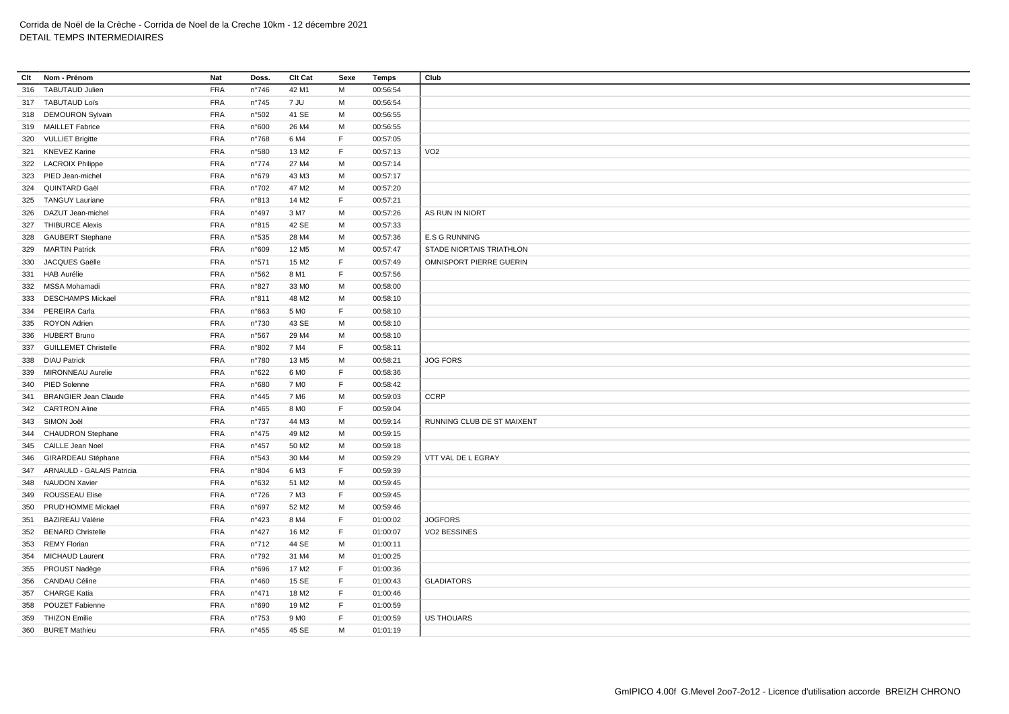| Clt | Nom - Prénom                  | Nat        | Doss.          | <b>Clt Cat</b>    | Sexe        | Temps    | Club                       |
|-----|-------------------------------|------------|----------------|-------------------|-------------|----------|----------------------------|
| 316 | <b>TABUTAUD Julien</b>        | <b>FRA</b> | $n^{\circ}746$ | 42 M1             | M           | 00:56:54 |                            |
|     | 317 TABUTAUD Loïs             | <b>FRA</b> | n°745          | 7 JU              | M           | 00:56:54 |                            |
|     | 318 DEMOURON Sylvain          | <b>FRA</b> | n°502          | 41 SE             | M           | 00:56:55 |                            |
|     | 319 MAILLET Fabrice           | <b>FRA</b> | n°600          | 26 M4             | M           | 00:56:55 |                            |
| 320 | <b>VULLIET Brigitte</b>       | <b>FRA</b> | n°768          | 6 M4              | F           | 00:57:05 |                            |
|     | 321 KNEVEZ Karine             | FRA        | n°580          | 13 M <sub>2</sub> | E           | 00:57:13 | VO <sub>2</sub>            |
|     | 322 LACROIX Philippe          | <b>FRA</b> | $n^{\circ}774$ | 27 M4             | м           | 00:57:14 |                            |
|     | 323 PIED Jean-michel          | <b>FRA</b> | n°679          | 43 M3             | M           | 00:57:17 |                            |
| 324 | QUINTARD Gaël                 | <b>FRA</b> | n°702          | 47 M2             | M           | 00:57:20 |                            |
|     | 325 TANGUY Lauriane           | FRA        | n°813          | 14 M <sub>2</sub> | F           | 00:57:21 |                            |
| 326 | DAZUT Jean-michel             | <b>FRA</b> | n°497          | 3 M7              | M           | 00:57:26 | AS RUN IN NIORT            |
|     | 327 THIBURCE Alexis           | <b>FRA</b> | n°815          | 42 SE             | M           | 00:57:33 |                            |
|     | 328 GAUBERT Stephane          | <b>FRA</b> | n°535          | 28 M4             | M           | 00:57:36 | <b>E.S G RUNNING</b>       |
| 329 | <b>MARTIN Patrick</b>         | <b>FRA</b> | n°609          | 12 M <sub>5</sub> | M           | 00:57:47 | STADE NIORTAIS TRIATHLON   |
| 330 | JACQUES Gaëlle                | <b>FRA</b> | n°571          | 15 M <sub>2</sub> | $\mathsf F$ | 00:57:49 | OMNISPORT PIERRE GUERIN    |
|     | 331 HAB Aurélie               | <b>FRA</b> | n°562          | 8 M1              | F           | 00:57:56 |                            |
|     | 332 MSSA Mohamadi             | <b>FRA</b> | n°827          | 33 M <sub>0</sub> | м           | 00:58:00 |                            |
| 333 | <b>DESCHAMPS Mickael</b>      | <b>FRA</b> | n°811          | 48 M2             | м           | 00:58:10 |                            |
| 334 | PEREIRA Carla                 | FRA        | n°663          | 5 M <sub>0</sub>  | F           | 00:58:10 |                            |
| 335 | ROYON Adrien                  | <b>FRA</b> | n°730          | 43 SE             | м           | 00:58:10 |                            |
| 336 | <b>HUBERT Bruno</b>           | FRA        | n°567          | 29 M4             | M           | 00:58:10 |                            |
| 337 | <b>GUILLEMET Christelle</b>   | <b>FRA</b> | n°802          | 7 M4              | $\mathsf F$ | 00:58:11 |                            |
|     | 338 DIAU Patrick              | FRA        | n°780          | 13 M <sub>5</sub> | M           | 00:58:21 | <b>JOG FORS</b>            |
| 339 | <b>MIRONNEAU Aurelie</b>      | <b>FRA</b> | n°622          | 6 M <sub>0</sub>  | F           | 00:58:36 |                            |
|     | 340 PIED Solenne              | <b>FRA</b> | n°680          | 7 M <sub>0</sub>  | F           | 00:58:42 |                            |
| 341 | <b>BRANGIER Jean Claude</b>   | <b>FRA</b> | n°445          | 7 M <sub>6</sub>  | м           | 00:59:03 | <b>CCRP</b>                |
| 342 | <b>CARTRON Aline</b>          | <b>FRA</b> | $n^{\circ}465$ | 8 MO              | F           | 00:59:04 |                            |
|     | 343 SIMON Joël                | FRA        | $n^{\circ}737$ | 44 M3             | м           | 00:59:14 | RUNNING CLUB DE ST MAIXENT |
|     | 344 CHAUDRON Stephane         | <b>FRA</b> | $n^{\circ}475$ | 49 M <sub>2</sub> | м           | 00:59:15 |                            |
|     | 345 CAILLE Jean Noel          | FRA        | $n^{\circ}457$ | 50 M2             | M           | 00:59:18 |                            |
| 346 | GIRARDEAU Stéphane            | <b>FRA</b> | n°543          | 30 M4             | м           | 00:59:29 | VTT VAL DE L EGRAY         |
|     | 347 ARNAULD - GALAIS Patricia | FRA        | n°804          | 6 M3              | F           | 00:59:39 |                            |
| 348 | <b>NAUDON Xavier</b>          | <b>FRA</b> | n°632          | 51 M2             | M           | 00:59:45 |                            |
|     | 349 ROUSSEAU Elise            | <b>FRA</b> | $n^{\circ}726$ | 7 M3              | F           | 00:59:45 |                            |
| 350 | PRUD'HOMME Mickael            | <b>FRA</b> | n°697          | 52 M2             | м           | 00:59:46 |                            |
| 351 | <b>BAZIREAU Valérie</b>       | <b>FRA</b> | n°423          | 8 M4              | F           | 01:00:02 | <b>JOGFORS</b>             |
| 352 | <b>BENARD Christelle</b>      | <b>FRA</b> | $n^{\circ}427$ | 16 M <sub>2</sub> | $\mathsf F$ | 01:00:07 | VO2 BESSINES               |
|     | 353 REMY Florian              | <b>FRA</b> | n°712          | 44 SE             | M           | 01:00:11 |                            |
| 354 | <b>MICHAUD Laurent</b>        | <b>FRA</b> | n°792          | 31 M4             | M           | 01:00:25 |                            |
|     | 355 PROUST Nadège             | <b>FRA</b> | n°696          | 17 M2             | $\mathsf F$ | 01:00:36 |                            |
| 356 | CANDAU Céline                 | <b>FRA</b> | n°460          | 15 SE             | $\mathsf F$ | 01:00:43 | <b>GLADIATORS</b>          |
| 357 | <b>CHARGE Katia</b>           | <b>FRA</b> | $n^{\circ}471$ | 18 M <sub>2</sub> | F           | 01:00:46 |                            |
|     | 358 POUZET Fabienne           | FRA        | n°690          | 19 M <sub>2</sub> | E           | 01:00:59 |                            |
| 359 | <b>THIZON Emilie</b>          | <b>FRA</b> | $n^{\circ}753$ | 9 M <sub>0</sub>  | E           | 01:00:59 | <b>US THOUARS</b>          |
|     | 360 BURET Mathieu             | FRA        | n°455          | 45 SE             | M           | 01:01:19 |                            |
|     |                               |            |                |                   |             |          |                            |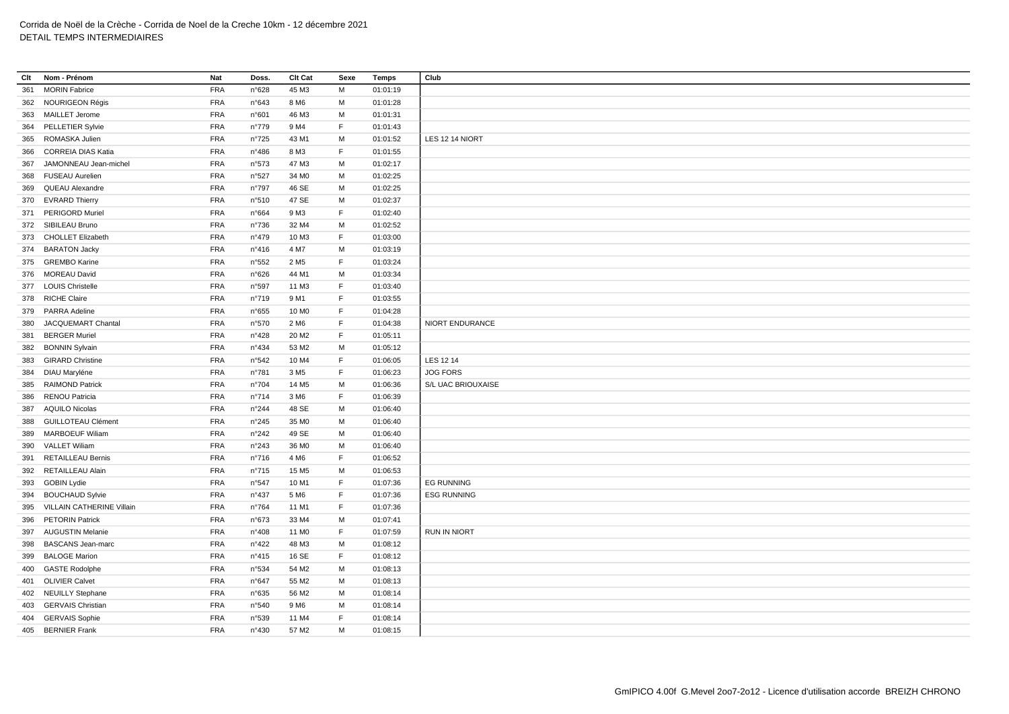| Clt | Nom - Prénom              | Nat        | Doss.          | Clt Cat           | Sexe        | <b>Temps</b> | Club                |
|-----|---------------------------|------------|----------------|-------------------|-------------|--------------|---------------------|
| 361 | <b>MORIN Fabrice</b>      | <b>FRA</b> | n°628          | 45 M3             | M           | 01:01:19     |                     |
| 362 | NOURIGEON Régis           | <b>FRA</b> | n°643          | 8 M6              | M           | 01:01:28     |                     |
| 363 | <b>MAILLET Jerome</b>     | <b>FRA</b> | n°601          | 46 M3             | M           | 01:01:31     |                     |
| 364 | PELLETIER Sylvie          | <b>FRA</b> | n°779          | 9 M4              | F           | 01:01:43     |                     |
| 365 | ROMASKA Julien            | <b>FRA</b> | $n^{\circ}725$ | 43 M1             | M           | 01:01:52     | LES 12 14 NIORT     |
| 366 | <b>CORREIA DIAS Katia</b> | <b>FRA</b> | n°486          | 8 M3              | $\mathsf F$ | 01:01:55     |                     |
| 367 | JAMONNEAU Jean-michel     | <b>FRA</b> | n°573          | 47 M3             | м           | 01:02:17     |                     |
| 368 | <b>FUSEAU Aurelien</b>    | <b>FRA</b> | n°527          | 34 M <sub>0</sub> | M           | 01:02:25     |                     |
| 369 | QUEAU Alexandre           | <b>FRA</b> | n°797          | 46 SE             | M           | 01:02:25     |                     |
| 370 | <b>EVRARD Thierry</b>     | <b>FRA</b> | n°510          | 47 SE             | M           | 01:02:37     |                     |
|     | 371 PERIGORD Muriel       | FRA        | n°664          | 9 M3              | F           | 01:02:40     |                     |
|     | 372 SIBILEAU Bruno        | <b>FRA</b> | $n^{\circ}736$ | 32 M4             | M           | 01:02:52     |                     |
| 373 | <b>CHOLLET Elizabeth</b>  | <b>FRA</b> | n°479          | 10 M3             | F           | 01:03:00     |                     |
|     | 374 BARATON Jacky         | <b>FRA</b> | n°416          | 4 M7              | M           | 01:03:19     |                     |
|     | 375 GREMBO Karine         | <b>FRA</b> | n°552          | 2 M <sub>5</sub>  | F.          | 01:03:24     |                     |
|     | 376 MOREAU David          | <b>FRA</b> | n°626          | 44 M1             | M           | 01:03:34     |                     |
|     | 377 LOUIS Christelle      | <b>FRA</b> | n°597          | 11 M3             | F           | 01:03:40     |                     |
|     | 378 RICHE Claire          | <b>FRA</b> | n°719          | 9 M1              | F           | 01:03:55     |                     |
| 379 | PARRA Adeline             | <b>FRA</b> | n°655          | 10 M <sub>0</sub> | F           | 01:04:28     |                     |
| 380 | JACQUEMART Chantal        | <b>FRA</b> | n°570          | 2 M <sub>6</sub>  | F           | 01:04:38     | NIORT ENDURANCE     |
| 381 | <b>BERGER Muriel</b>      | <b>FRA</b> | n°428          | 20 M <sub>2</sub> | F           | 01:05:11     |                     |
| 382 | <b>BONNIN Sylvain</b>     | <b>FRA</b> | $n^{\circ}434$ | 53 M2             | M           | 01:05:12     |                     |
| 383 | <b>GIRARD Christine</b>   | <b>FRA</b> | n°542          | 10 M4             | F           | 01:06:05     | LES 12 14           |
| 384 | DIAU Maryléne             | <b>FRA</b> | n°781          | 3 M <sub>5</sub>  | F           | 01:06:23     | <b>JOG FORS</b>     |
| 385 | <b>RAIMOND Patrick</b>    | <b>FRA</b> | n°704          | 14 M <sub>5</sub> | M           | 01:06:36     | S/L UAC BRIOUXAISE  |
| 386 | <b>RENOU Patricia</b>     | <b>FRA</b> | $n^{\circ}714$ | 3 M <sub>6</sub>  | F.          | 01:06:39     |                     |
| 387 | <b>AQUILO Nicolas</b>     | <b>FRA</b> | n°244          | 48 SE             | M           | 01:06:40     |                     |
| 388 | <b>GUILLOTEAU Clément</b> | <b>FRA</b> | n°245          | 35 MO             | M           | 01:06:40     |                     |
| 389 | <b>MARBOEUF Wiliam</b>    | <b>FRA</b> | n°242          | 49 SE             | M           | 01:06:40     |                     |
| 390 | <b>VALLET Wiliam</b>      | <b>FRA</b> | n°243          | 36 M <sub>0</sub> | M           | 01:06:40     |                     |
| 391 | <b>RETAILLEAU Bernis</b>  | <b>FRA</b> | $n^{\circ}716$ | 4 M <sub>6</sub>  | F.          | 01:06:52     |                     |
| 392 | RETAILLEAU Alain          | <b>FRA</b> | n°715          | 15 M <sub>5</sub> | M           | 01:06:53     |                     |
| 393 | <b>GOBIN Lydie</b>        | <b>FRA</b> | n°547          | 10 M1             | F.          | 01:07:36     | <b>EG RUNNING</b>   |
| 394 | <b>BOUCHAUD Sylvie</b>    | <b>FRA</b> | $n^{\circ}437$ | 5 M <sub>6</sub>  | F           | 01:07:36     | <b>ESG RUNNING</b>  |
| 395 | VILLAIN CATHERINE Villain | <b>FRA</b> | n°764          | 11 M1             | F           | 01:07:36     |                     |
| 396 | <b>PETORIN Patrick</b>    | <b>FRA</b> | n°673          | 33 M4             | М           | 01:07:41     |                     |
|     | 397 AUGUSTIN Melanie      | <b>FRA</b> | n°408          | 11 M <sub>0</sub> | F           | 01:07:59     | <b>RUN IN NIORT</b> |
| 398 | <b>BASCANS Jean-marc</b>  | <b>FRA</b> | $n^{\circ}422$ | 48 M3             | M           | 01:08:12     |                     |
| 399 | <b>BALOGE Marion</b>      | <b>FRA</b> | n°415          | 16 SE             | F           | 01:08:12     |                     |
| 400 | <b>GASTE Rodolphe</b>     | <b>FRA</b> | n°534          | 54 M2             | M           | 01:08:13     |                     |
|     | 401 OLIVIER Calvet        | <b>FRA</b> | n°647          | 55 M2             | M           | 01:08:13     |                     |
| 402 | <b>NEUILLY Stephane</b>   | <b>FRA</b> | n°635          | 56 M2             | M           | 01:08:14     |                     |
| 403 | <b>GERVAIS Christian</b>  | <b>FRA</b> | n°540          | 9 M <sub>6</sub>  | M           | 01:08:14     |                     |
| 404 | <b>GERVAIS Sophie</b>     | <b>FRA</b> | n°539          | 11 M4             | $\mathsf F$ | 01:08:14     |                     |
|     | 405 BERNIER Frank         | <b>FRA</b> | n°430          | 57 M2             | M           | 01:08:15     |                     |